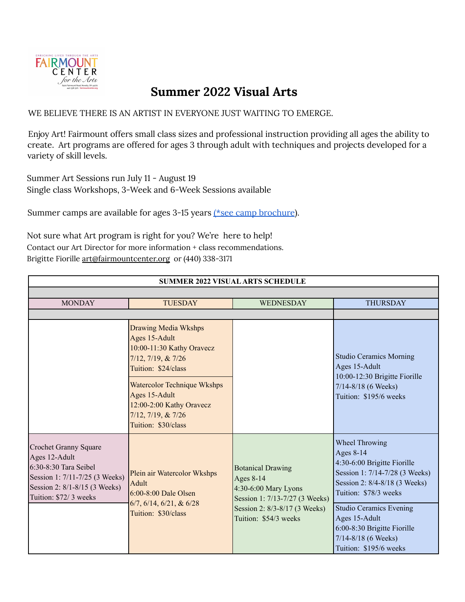

# **Summer 2022 Visual Arts**

WE BELIEVE THERE IS AN ARTIST IN EVERYONE JUST WAITING TO EMERGE.

Enjoy Art! Fairmount offers small class sizes and professional instruction providing all ages the ability to create. Art programs are offered for ages 3 through adult with techniques and projects developed for a variety of skill levels.

Summer Art Sessions run July 11 - August 19 Single class Workshops, 3-Week and 6-Week Sessions available

Summer camps are available for ages 3-15 years (\*see camp [brochure](https://www.fairmountcenter.org/wp-content/uploads/2022/03/Sm22-Camp-Brochure-for-Website.pdf)).

Not sure what Art program is right for you? We're here to help! Contact our Art Director for more information + class recommendations. Brigitte Fiorille [art@fairmountcenter.org](mailto:art@fairmountcenter.org) or (440) 338-3171

| <b>SUMMER 2022 VISUAL ARTS SCHEDULE</b>                                                                                                                        |                                                                                                                        |                                                                                                                                                           |                                                                                                                                                               |
|----------------------------------------------------------------------------------------------------------------------------------------------------------------|------------------------------------------------------------------------------------------------------------------------|-----------------------------------------------------------------------------------------------------------------------------------------------------------|---------------------------------------------------------------------------------------------------------------------------------------------------------------|
|                                                                                                                                                                |                                                                                                                        |                                                                                                                                                           |                                                                                                                                                               |
| <b>MONDAY</b>                                                                                                                                                  | <b>TUESDAY</b>                                                                                                         | <b>WEDNESDAY</b>                                                                                                                                          | <b>THURSDAY</b>                                                                                                                                               |
|                                                                                                                                                                |                                                                                                                        |                                                                                                                                                           |                                                                                                                                                               |
|                                                                                                                                                                | <b>Drawing Media Wkshps</b><br>Ages 15-Adult<br>10:00-11:30 Kathy Oravecz<br>7/12, 7/19, & 7/26<br>Tuition: \$24/class |                                                                                                                                                           | <b>Studio Ceramics Morning</b><br>Ages 15-Adult<br>10:00-12:30 Brigitte Fiorille<br>$7/14 - 8/18$ (6 Weeks)<br>Tuition: \$195/6 weeks                         |
|                                                                                                                                                                | Watercolor Technique Wkshps<br>Ages 15-Adult<br>12:00-2:00 Kathy Oravecz<br>7/12, 7/19, & 7/26<br>Tuition: \$30/class  |                                                                                                                                                           |                                                                                                                                                               |
| Crochet Granny Square<br>Ages 12-Adult<br>$6:30-8:30$ Tara Seibel<br>Session 1: 7/11-7/25 (3 Weeks)<br>Session 2: 8/1-8/15 (3 Weeks)<br>Tuition: \$72/ 3 weeks | Plein air Watercolor Wkshps<br>Adult<br>$6:00-8:00$ Dale Olsen<br>$6/7, 6/14, 6/21, \& 6/28$<br>Tuition: \$30/class    | <b>Botanical Drawing</b><br>Ages 8-14<br>4:30-6:00 Mary Lyons<br>Session 1: 7/13-7/27 (3 Weeks)<br>Session 2: 8/3-8/17 (3 Weeks)<br>Tuition: \$54/3 weeks | <b>Wheel Throwing</b><br>Ages 8-14<br>4:30-6:00 Brigitte Fiorille<br>Session 1: 7/14-7/28 (3 Weeks)<br>Session 2: 8/4-8/18 (3 Weeks)<br>Tuition: \$78/3 weeks |
|                                                                                                                                                                |                                                                                                                        |                                                                                                                                                           | <b>Studio Ceramics Evening</b><br>Ages 15-Adult<br>6:00-8:30 Brigitte Fiorille<br>$7/14 - 8/18$ (6 Weeks)<br>Tuition: \$195/6 weeks                           |